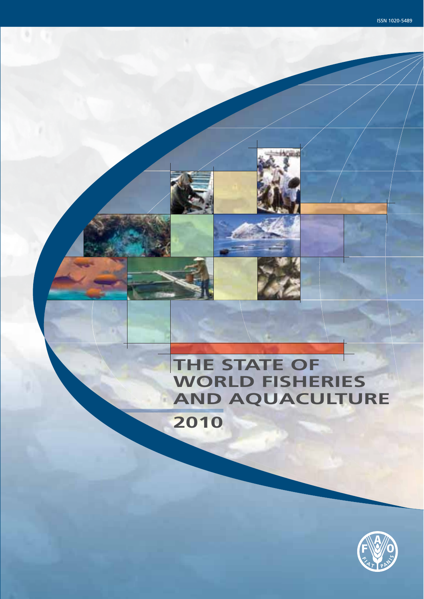# **THE STATE OF WORLD FISHERIES AND AQUACULTURE**

**2010**

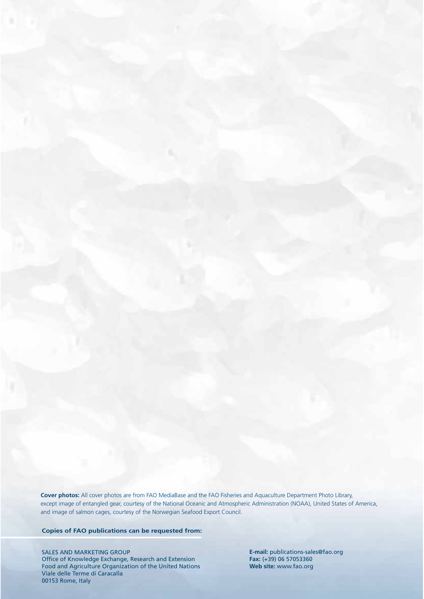**Cover photos:** All cover photos are from FAO MediaBase and the FAO Fisheries and Aquaculture Department Photo Library, except image of entangled gear, courtesy of the National Oceanic and Atmospheric Administration (NOAA), United States of America, and image of salmon cages, courtesy of the Norwegian Seafood Export Council.

**Copies of FAO publications can be requested from:**

SALES AND MARKETING GROUP Office of Knowledge Exchange, Research and Extension Food and Agriculture Organization of the United Nations Viale delle Terme di Caracalla 00153 Rome, Italy

**E-mail:** publications-sales@fao.org **Fax:** (+39) 06 57053360 **Web site:** www.fao.org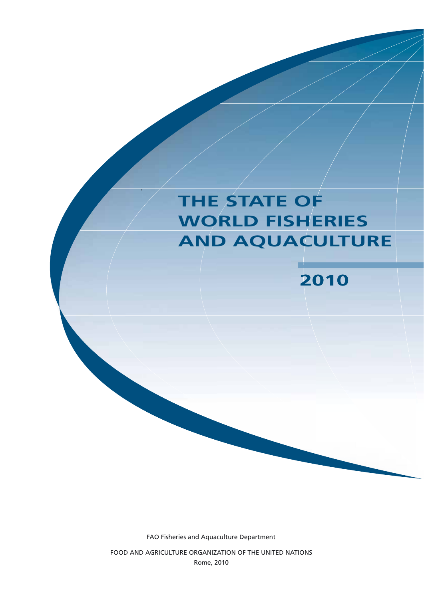# **THE STATE OF WORLD FISHERIES AND AQUACULTURE**

# **2010**

FAO Fisheries and Aquaculture Department

FOOD AND AGRICULTURE ORGANIZATION OF THE UNITED NATIONS Rome, 2010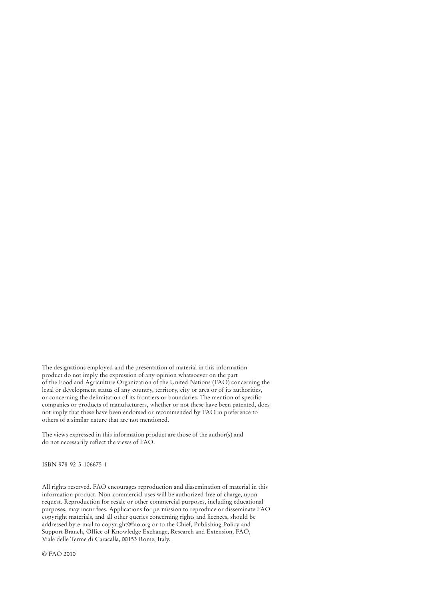The designations employed and the presentation of material in this information product do not imply the expression of any opinion whatsoever on the part of the Food and Agriculture Organization of the United Nations (FAO) concerning the legal or development status of any country, territory, city or area or of its authorities, or concerning the delimitation of its frontiers or boundaries. The mention of specific companies or products of manufacturers, whether or not these have been patented, does not imply that these have been endorsed or recommended by FAO in preference to others of a similar nature that are not mentioned.

The views expressed in this information product are those of the author(s) and do not necessarily reflect the views of FAO.

ISBN 978-92-5-106675-1

All rights reserved. FAO encourages reproduction and dissemination of material in this information product. Non-commercial uses will be authorized free of charge, upon request. Reproduction for resale or other commercial purposes, including educational purposes, may incur fees. Applications for permission to reproduce or disseminate FAO copyright materials, and all other queries concerning rights and licences, should be addressed by e-mail to copyright@fao.org or to the Chief, Publishing Policy and Support Branch, Office of Knowledge Exchange, Research and Extension, FAO, Viale delle Terme di Caracalla, 00153 Rome, Italy.

© FAO 2010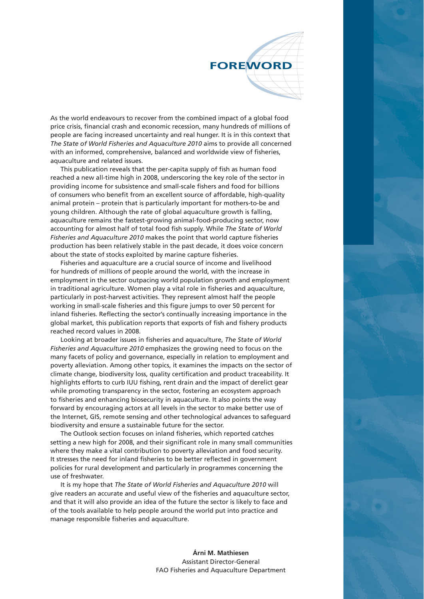# **FOREWORD**

As the world endeavours to recover from the combined impact of a global food price crisis, financial crash and economic recession, many hundreds of millions of people are facing increased uncertainty and real hunger. It is in this context that *The State of World Fisheries and Aquaculture 2010* aims to provide all concerned with an informed, comprehensive, balanced and worldwide view of fisheries, aquaculture and related issues.

This publication reveals that the per-capita supply of fish as human food reached a new all-time high in 2008, underscoring the key role of the sector in providing income for subsistence and small-scale fishers and food for billions of consumers who benefit from an excellent source of affordable, high-quality animal protein – protein that is particularly important for mothers-to-be and young children. Although the rate of global aquaculture growth is falling, aquaculture remains the fastest-growing animal-food-producing sector, now accounting for almost half of total food fish supply. While *The State of World Fisheries and Aquaculture 2010* makes the point that world capture fisheries production has been relatively stable in the past decade, it does voice concern about the state of stocks exploited by marine capture fisheries.

Fisheries and aquaculture are a crucial source of income and livelihood for hundreds of millions of people around the world, with the increase in employment in the sector outpacing world population growth and employment in traditional agriculture. Women play a vital role in fisheries and aquaculture, particularly in post-harvest activities. They represent almost half the people working in small-scale fisheries and this figure jumps to over 50 percent for inland fisheries. Reflecting the sector's continually increasing importance in the global market, this publication reports that exports of fish and fishery products reached record values in 2008.

Looking at broader issues in fisheries and aquaculture, *The State of World Fisheries and Aquaculture 2010* emphasizes the growing need to focus on the many facets of policy and governance, especially in relation to employment and poverty alleviation. Among other topics, it examines the impacts on the sector of climate change, biodiversity loss, quality certification and product traceability. It highlights efforts to curb IUU fishing, rent drain and the impact of derelict gear while promoting transparency in the sector, fostering an ecosystem approach to fisheries and enhancing biosecurity in aquaculture. It also points the way forward by encouraging actors at all levels in the sector to make better use of the Internet, GIS, remote sensing and other technological advances to safeguard biodiversity and ensure a sustainable future for the sector.

The Outlook section focuses on inland fisheries, which reported catches setting a new high for 2008, and their significant role in many small communities where they make a vital contribution to poverty alleviation and food security. It stresses the need for inland fisheries to be better reflected in government policies for rural development and particularly in programmes concerning the use of freshwater.

It is my hope that *The State of World Fisheries and Aquaculture 2010* will give readers an accurate and useful view of the fisheries and aquaculture sector, and that it will also provide an idea of the future the sector is likely to face and of the tools available to help people around the world put into practice and manage responsible fisheries and aquaculture.

> **Árni M. Mathiesen** Assistant Director-General FAO Fisheries and Aquaculture Department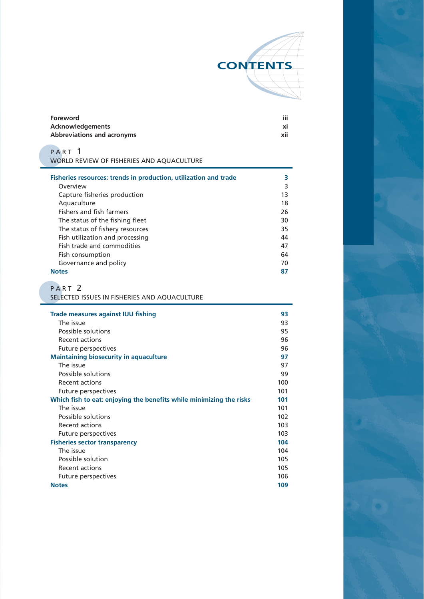

| iii |
|-----|
|     |
| xii |
|     |

## **PART 1**

### WORLD REVIEW OF FISHERIES AND AQUACULTURE

| Fisheries resources: trends in production, utilization and trade |    |
|------------------------------------------------------------------|----|
| Overview                                                         | 3  |
| Capture fisheries production                                     | 13 |
| Aquaculture                                                      | 18 |
| <b>Fishers and fish farmers</b>                                  | 26 |
| The status of the fishing fleet                                  | 30 |
| The status of fishery resources                                  | 35 |
| Fish utilization and processing                                  | 44 |
| Fish trade and commodities                                       | 47 |
| Fish consumption                                                 | 64 |
| Governance and policy                                            | 70 |
| <b>Notes</b>                                                     | 87 |

### PART<sub>2</sub>

### SELECTED ISSUES IN FISHERIES AND AQUACULTURE

| <b>Trade measures against IUU fishing</b>                           | 93  |
|---------------------------------------------------------------------|-----|
| The issue                                                           | 93  |
| Possible solutions                                                  | 95  |
| Recent actions                                                      | 96  |
| Future perspectives                                                 | 96  |
| <b>Maintaining biosecurity in aquaculture</b>                       | 97  |
| The issue                                                           | 97  |
| Possible solutions                                                  | 99  |
| Recent actions                                                      | 100 |
| Future perspectives                                                 | 101 |
| Which fish to eat: enjoying the benefits while minimizing the risks | 101 |
| The issue                                                           | 101 |
| Possible solutions                                                  | 102 |
| Recent actions                                                      | 103 |
| Future perspectives                                                 | 103 |
| <b>Fisheries sector transparency</b>                                | 104 |
| The issue                                                           | 104 |
| Possible solution                                                   | 105 |
| Recent actions                                                      | 105 |
| Future perspectives                                                 | 106 |
| <b>Notes</b>                                                        | 109 |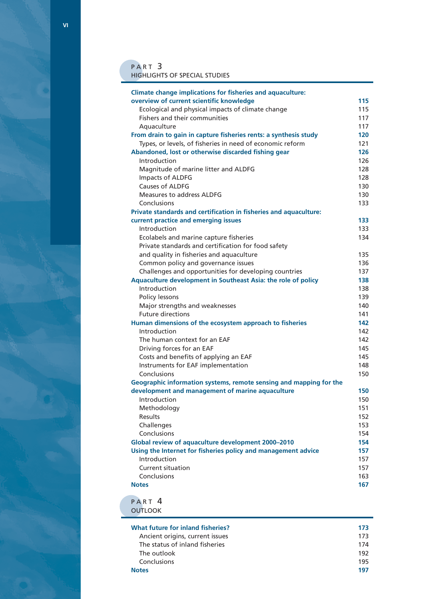#### PART<sub>3</sub> HIGHLIGHTS OF SPECIAL STUDIES

| overview of current scientific knowledge<br>115<br>115<br>Ecological and physical impacts of climate change<br>Fishers and their communities<br>117<br>117<br>Aquaculture<br>From drain to gain in capture fisheries rents: a synthesis study<br>120<br>Types, or levels, of fisheries in need of economic reform<br>121<br>Abandoned, lost or otherwise discarded fishing gear<br>126<br>Introduction<br>126<br>128<br>Magnitude of marine litter and ALDFG<br>128<br>Impacts of ALDFG<br>Causes of ALDFG<br>130<br>Measures to address ALDFG<br>130<br>Conclusions<br>133<br>Private standards and certification in fisheries and aquaculture:<br>current practice and emerging issues<br>133<br>Introduction<br>133<br>134<br>Ecolabels and marine capture fisheries<br>Private standards and certification for food safety<br>and quality in fisheries and aquaculture<br>135<br>Common policy and governance issues<br>136<br>Challenges and opportunities for developing countries<br>137<br>Aquaculture development in Southeast Asia: the role of policy<br>138<br>Introduction<br>138<br>139<br>Policy lessons<br>Major strengths and weaknesses<br>140<br><b>Future directions</b><br>141<br>142<br>Human dimensions of the ecosystem approach to fisheries<br>142<br>Introduction<br>The human context for an EAF<br>142<br>145<br>Driving forces for an EAF<br>145<br>Costs and benefits of applying an EAF<br>148<br>Instruments for EAF implementation<br>Conclusions<br>150<br>Geographic information systems, remote sensing and mapping for the<br>development and management of marine aquaculture<br>150<br>Introduction<br>150<br>Methodology<br>151<br>Results<br>152<br>153<br>Challenges<br>Conclusions<br>154<br>Global review of aquaculture development 2000-2010<br>154<br>Using the Internet for fisheries policy and management advice<br>157<br>Introduction<br>157<br>Current situation<br>157<br>Conclusions<br>163<br><b>Notes</b><br>167 | <b>Climate change implications for fisheries and aquaculture:</b> |  |
|----------------------------------------------------------------------------------------------------------------------------------------------------------------------------------------------------------------------------------------------------------------------------------------------------------------------------------------------------------------------------------------------------------------------------------------------------------------------------------------------------------------------------------------------------------------------------------------------------------------------------------------------------------------------------------------------------------------------------------------------------------------------------------------------------------------------------------------------------------------------------------------------------------------------------------------------------------------------------------------------------------------------------------------------------------------------------------------------------------------------------------------------------------------------------------------------------------------------------------------------------------------------------------------------------------------------------------------------------------------------------------------------------------------------------------------------------------------------------------------------------------------------------------------------------------------------------------------------------------------------------------------------------------------------------------------------------------------------------------------------------------------------------------------------------------------------------------------------------------------------------------------------------------------------------------------------------------------------------|-------------------------------------------------------------------|--|
|                                                                                                                                                                                                                                                                                                                                                                                                                                                                                                                                                                                                                                                                                                                                                                                                                                                                                                                                                                                                                                                                                                                                                                                                                                                                                                                                                                                                                                                                                                                                                                                                                                                                                                                                                                                                                                                                                                                                                                            |                                                                   |  |
|                                                                                                                                                                                                                                                                                                                                                                                                                                                                                                                                                                                                                                                                                                                                                                                                                                                                                                                                                                                                                                                                                                                                                                                                                                                                                                                                                                                                                                                                                                                                                                                                                                                                                                                                                                                                                                                                                                                                                                            |                                                                   |  |
|                                                                                                                                                                                                                                                                                                                                                                                                                                                                                                                                                                                                                                                                                                                                                                                                                                                                                                                                                                                                                                                                                                                                                                                                                                                                                                                                                                                                                                                                                                                                                                                                                                                                                                                                                                                                                                                                                                                                                                            |                                                                   |  |
|                                                                                                                                                                                                                                                                                                                                                                                                                                                                                                                                                                                                                                                                                                                                                                                                                                                                                                                                                                                                                                                                                                                                                                                                                                                                                                                                                                                                                                                                                                                                                                                                                                                                                                                                                                                                                                                                                                                                                                            |                                                                   |  |
|                                                                                                                                                                                                                                                                                                                                                                                                                                                                                                                                                                                                                                                                                                                                                                                                                                                                                                                                                                                                                                                                                                                                                                                                                                                                                                                                                                                                                                                                                                                                                                                                                                                                                                                                                                                                                                                                                                                                                                            |                                                                   |  |
|                                                                                                                                                                                                                                                                                                                                                                                                                                                                                                                                                                                                                                                                                                                                                                                                                                                                                                                                                                                                                                                                                                                                                                                                                                                                                                                                                                                                                                                                                                                                                                                                                                                                                                                                                                                                                                                                                                                                                                            |                                                                   |  |
|                                                                                                                                                                                                                                                                                                                                                                                                                                                                                                                                                                                                                                                                                                                                                                                                                                                                                                                                                                                                                                                                                                                                                                                                                                                                                                                                                                                                                                                                                                                                                                                                                                                                                                                                                                                                                                                                                                                                                                            |                                                                   |  |
|                                                                                                                                                                                                                                                                                                                                                                                                                                                                                                                                                                                                                                                                                                                                                                                                                                                                                                                                                                                                                                                                                                                                                                                                                                                                                                                                                                                                                                                                                                                                                                                                                                                                                                                                                                                                                                                                                                                                                                            |                                                                   |  |
|                                                                                                                                                                                                                                                                                                                                                                                                                                                                                                                                                                                                                                                                                                                                                                                                                                                                                                                                                                                                                                                                                                                                                                                                                                                                                                                                                                                                                                                                                                                                                                                                                                                                                                                                                                                                                                                                                                                                                                            |                                                                   |  |
|                                                                                                                                                                                                                                                                                                                                                                                                                                                                                                                                                                                                                                                                                                                                                                                                                                                                                                                                                                                                                                                                                                                                                                                                                                                                                                                                                                                                                                                                                                                                                                                                                                                                                                                                                                                                                                                                                                                                                                            |                                                                   |  |
|                                                                                                                                                                                                                                                                                                                                                                                                                                                                                                                                                                                                                                                                                                                                                                                                                                                                                                                                                                                                                                                                                                                                                                                                                                                                                                                                                                                                                                                                                                                                                                                                                                                                                                                                                                                                                                                                                                                                                                            |                                                                   |  |
|                                                                                                                                                                                                                                                                                                                                                                                                                                                                                                                                                                                                                                                                                                                                                                                                                                                                                                                                                                                                                                                                                                                                                                                                                                                                                                                                                                                                                                                                                                                                                                                                                                                                                                                                                                                                                                                                                                                                                                            |                                                                   |  |
|                                                                                                                                                                                                                                                                                                                                                                                                                                                                                                                                                                                                                                                                                                                                                                                                                                                                                                                                                                                                                                                                                                                                                                                                                                                                                                                                                                                                                                                                                                                                                                                                                                                                                                                                                                                                                                                                                                                                                                            |                                                                   |  |
|                                                                                                                                                                                                                                                                                                                                                                                                                                                                                                                                                                                                                                                                                                                                                                                                                                                                                                                                                                                                                                                                                                                                                                                                                                                                                                                                                                                                                                                                                                                                                                                                                                                                                                                                                                                                                                                                                                                                                                            |                                                                   |  |
|                                                                                                                                                                                                                                                                                                                                                                                                                                                                                                                                                                                                                                                                                                                                                                                                                                                                                                                                                                                                                                                                                                                                                                                                                                                                                                                                                                                                                                                                                                                                                                                                                                                                                                                                                                                                                                                                                                                                                                            |                                                                   |  |
|                                                                                                                                                                                                                                                                                                                                                                                                                                                                                                                                                                                                                                                                                                                                                                                                                                                                                                                                                                                                                                                                                                                                                                                                                                                                                                                                                                                                                                                                                                                                                                                                                                                                                                                                                                                                                                                                                                                                                                            |                                                                   |  |
|                                                                                                                                                                                                                                                                                                                                                                                                                                                                                                                                                                                                                                                                                                                                                                                                                                                                                                                                                                                                                                                                                                                                                                                                                                                                                                                                                                                                                                                                                                                                                                                                                                                                                                                                                                                                                                                                                                                                                                            |                                                                   |  |
|                                                                                                                                                                                                                                                                                                                                                                                                                                                                                                                                                                                                                                                                                                                                                                                                                                                                                                                                                                                                                                                                                                                                                                                                                                                                                                                                                                                                                                                                                                                                                                                                                                                                                                                                                                                                                                                                                                                                                                            |                                                                   |  |
|                                                                                                                                                                                                                                                                                                                                                                                                                                                                                                                                                                                                                                                                                                                                                                                                                                                                                                                                                                                                                                                                                                                                                                                                                                                                                                                                                                                                                                                                                                                                                                                                                                                                                                                                                                                                                                                                                                                                                                            |                                                                   |  |
|                                                                                                                                                                                                                                                                                                                                                                                                                                                                                                                                                                                                                                                                                                                                                                                                                                                                                                                                                                                                                                                                                                                                                                                                                                                                                                                                                                                                                                                                                                                                                                                                                                                                                                                                                                                                                                                                                                                                                                            |                                                                   |  |
|                                                                                                                                                                                                                                                                                                                                                                                                                                                                                                                                                                                                                                                                                                                                                                                                                                                                                                                                                                                                                                                                                                                                                                                                                                                                                                                                                                                                                                                                                                                                                                                                                                                                                                                                                                                                                                                                                                                                                                            |                                                                   |  |
|                                                                                                                                                                                                                                                                                                                                                                                                                                                                                                                                                                                                                                                                                                                                                                                                                                                                                                                                                                                                                                                                                                                                                                                                                                                                                                                                                                                                                                                                                                                                                                                                                                                                                                                                                                                                                                                                                                                                                                            |                                                                   |  |
|                                                                                                                                                                                                                                                                                                                                                                                                                                                                                                                                                                                                                                                                                                                                                                                                                                                                                                                                                                                                                                                                                                                                                                                                                                                                                                                                                                                                                                                                                                                                                                                                                                                                                                                                                                                                                                                                                                                                                                            |                                                                   |  |
|                                                                                                                                                                                                                                                                                                                                                                                                                                                                                                                                                                                                                                                                                                                                                                                                                                                                                                                                                                                                                                                                                                                                                                                                                                                                                                                                                                                                                                                                                                                                                                                                                                                                                                                                                                                                                                                                                                                                                                            |                                                                   |  |
|                                                                                                                                                                                                                                                                                                                                                                                                                                                                                                                                                                                                                                                                                                                                                                                                                                                                                                                                                                                                                                                                                                                                                                                                                                                                                                                                                                                                                                                                                                                                                                                                                                                                                                                                                                                                                                                                                                                                                                            |                                                                   |  |
|                                                                                                                                                                                                                                                                                                                                                                                                                                                                                                                                                                                                                                                                                                                                                                                                                                                                                                                                                                                                                                                                                                                                                                                                                                                                                                                                                                                                                                                                                                                                                                                                                                                                                                                                                                                                                                                                                                                                                                            |                                                                   |  |
|                                                                                                                                                                                                                                                                                                                                                                                                                                                                                                                                                                                                                                                                                                                                                                                                                                                                                                                                                                                                                                                                                                                                                                                                                                                                                                                                                                                                                                                                                                                                                                                                                                                                                                                                                                                                                                                                                                                                                                            |                                                                   |  |
|                                                                                                                                                                                                                                                                                                                                                                                                                                                                                                                                                                                                                                                                                                                                                                                                                                                                                                                                                                                                                                                                                                                                                                                                                                                                                                                                                                                                                                                                                                                                                                                                                                                                                                                                                                                                                                                                                                                                                                            |                                                                   |  |
|                                                                                                                                                                                                                                                                                                                                                                                                                                                                                                                                                                                                                                                                                                                                                                                                                                                                                                                                                                                                                                                                                                                                                                                                                                                                                                                                                                                                                                                                                                                                                                                                                                                                                                                                                                                                                                                                                                                                                                            |                                                                   |  |
|                                                                                                                                                                                                                                                                                                                                                                                                                                                                                                                                                                                                                                                                                                                                                                                                                                                                                                                                                                                                                                                                                                                                                                                                                                                                                                                                                                                                                                                                                                                                                                                                                                                                                                                                                                                                                                                                                                                                                                            |                                                                   |  |
|                                                                                                                                                                                                                                                                                                                                                                                                                                                                                                                                                                                                                                                                                                                                                                                                                                                                                                                                                                                                                                                                                                                                                                                                                                                                                                                                                                                                                                                                                                                                                                                                                                                                                                                                                                                                                                                                                                                                                                            |                                                                   |  |
|                                                                                                                                                                                                                                                                                                                                                                                                                                                                                                                                                                                                                                                                                                                                                                                                                                                                                                                                                                                                                                                                                                                                                                                                                                                                                                                                                                                                                                                                                                                                                                                                                                                                                                                                                                                                                                                                                                                                                                            |                                                                   |  |
|                                                                                                                                                                                                                                                                                                                                                                                                                                                                                                                                                                                                                                                                                                                                                                                                                                                                                                                                                                                                                                                                                                                                                                                                                                                                                                                                                                                                                                                                                                                                                                                                                                                                                                                                                                                                                                                                                                                                                                            |                                                                   |  |
|                                                                                                                                                                                                                                                                                                                                                                                                                                                                                                                                                                                                                                                                                                                                                                                                                                                                                                                                                                                                                                                                                                                                                                                                                                                                                                                                                                                                                                                                                                                                                                                                                                                                                                                                                                                                                                                                                                                                                                            |                                                                   |  |
|                                                                                                                                                                                                                                                                                                                                                                                                                                                                                                                                                                                                                                                                                                                                                                                                                                                                                                                                                                                                                                                                                                                                                                                                                                                                                                                                                                                                                                                                                                                                                                                                                                                                                                                                                                                                                                                                                                                                                                            |                                                                   |  |
|                                                                                                                                                                                                                                                                                                                                                                                                                                                                                                                                                                                                                                                                                                                                                                                                                                                                                                                                                                                                                                                                                                                                                                                                                                                                                                                                                                                                                                                                                                                                                                                                                                                                                                                                                                                                                                                                                                                                                                            |                                                                   |  |
|                                                                                                                                                                                                                                                                                                                                                                                                                                                                                                                                                                                                                                                                                                                                                                                                                                                                                                                                                                                                                                                                                                                                                                                                                                                                                                                                                                                                                                                                                                                                                                                                                                                                                                                                                                                                                                                                                                                                                                            |                                                                   |  |
|                                                                                                                                                                                                                                                                                                                                                                                                                                                                                                                                                                                                                                                                                                                                                                                                                                                                                                                                                                                                                                                                                                                                                                                                                                                                                                                                                                                                                                                                                                                                                                                                                                                                                                                                                                                                                                                                                                                                                                            |                                                                   |  |
|                                                                                                                                                                                                                                                                                                                                                                                                                                                                                                                                                                                                                                                                                                                                                                                                                                                                                                                                                                                                                                                                                                                                                                                                                                                                                                                                                                                                                                                                                                                                                                                                                                                                                                                                                                                                                                                                                                                                                                            |                                                                   |  |
|                                                                                                                                                                                                                                                                                                                                                                                                                                                                                                                                                                                                                                                                                                                                                                                                                                                                                                                                                                                                                                                                                                                                                                                                                                                                                                                                                                                                                                                                                                                                                                                                                                                                                                                                                                                                                                                                                                                                                                            |                                                                   |  |
|                                                                                                                                                                                                                                                                                                                                                                                                                                                                                                                                                                                                                                                                                                                                                                                                                                                                                                                                                                                                                                                                                                                                                                                                                                                                                                                                                                                                                                                                                                                                                                                                                                                                                                                                                                                                                                                                                                                                                                            |                                                                   |  |
|                                                                                                                                                                                                                                                                                                                                                                                                                                                                                                                                                                                                                                                                                                                                                                                                                                                                                                                                                                                                                                                                                                                                                                                                                                                                                                                                                                                                                                                                                                                                                                                                                                                                                                                                                                                                                                                                                                                                                                            |                                                                   |  |
|                                                                                                                                                                                                                                                                                                                                                                                                                                                                                                                                                                                                                                                                                                                                                                                                                                                                                                                                                                                                                                                                                                                                                                                                                                                                                                                                                                                                                                                                                                                                                                                                                                                                                                                                                                                                                                                                                                                                                                            |                                                                   |  |
|                                                                                                                                                                                                                                                                                                                                                                                                                                                                                                                                                                                                                                                                                                                                                                                                                                                                                                                                                                                                                                                                                                                                                                                                                                                                                                                                                                                                                                                                                                                                                                                                                                                                                                                                                                                                                                                                                                                                                                            |                                                                   |  |
|                                                                                                                                                                                                                                                                                                                                                                                                                                                                                                                                                                                                                                                                                                                                                                                                                                                                                                                                                                                                                                                                                                                                                                                                                                                                                                                                                                                                                                                                                                                                                                                                                                                                                                                                                                                                                                                                                                                                                                            |                                                                   |  |
|                                                                                                                                                                                                                                                                                                                                                                                                                                                                                                                                                                                                                                                                                                                                                                                                                                                                                                                                                                                                                                                                                                                                                                                                                                                                                                                                                                                                                                                                                                                                                                                                                                                                                                                                                                                                                                                                                                                                                                            |                                                                   |  |

PART<sub>4</sub> **OUTLOOK** 

#### **What future for inland fisheries?** 173 Ancient origins, current issues 173 The status of inland fisheries 174 The outlook 192 Conclusions 195 **Notes 197 197**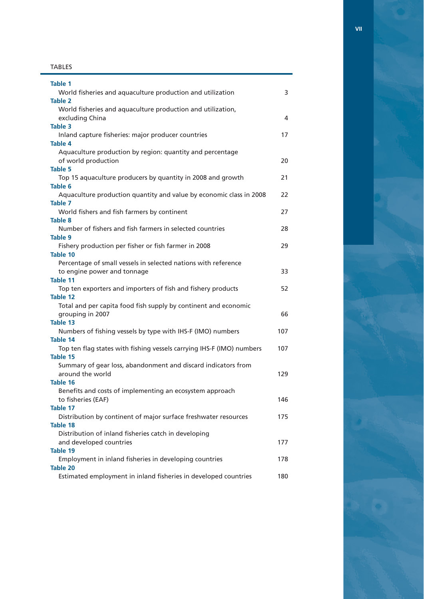| <b>Table 1</b>                                                        |     |
|-----------------------------------------------------------------------|-----|
| World fisheries and aquaculture production and utilization            | 3   |
| <b>Table 2</b>                                                        |     |
| World fisheries and aquaculture production and utilization,           |     |
| excluding China                                                       | 4   |
| <b>Table 3</b>                                                        |     |
| Inland capture fisheries: major producer countries                    | 17  |
| <b>Table 4</b>                                                        |     |
| Aquaculture production by region: quantity and percentage             |     |
| of world production                                                   | 20  |
| <b>Table 5</b>                                                        |     |
| Top 15 aquaculture producers by quantity in 2008 and growth           | 21  |
| <b>Table 6</b>                                                        |     |
| Aquaculture production quantity and value by economic class in 2008   | 22  |
| <b>Table 7</b>                                                        |     |
| World fishers and fish farmers by continent                           | 27  |
| Table 8                                                               |     |
| Number of fishers and fish farmers in selected countries              | 28  |
| Table 9                                                               |     |
| Fishery production per fisher or fish farmer in 2008                  | 29  |
| <b>Table 10</b>                                                       |     |
| Percentage of small vessels in selected nations with reference        |     |
| to engine power and tonnage                                           | 33  |
| <b>Table 11</b>                                                       |     |
| Top ten exporters and importers of fish and fishery products          | 52  |
| Table 12                                                              |     |
| Total and per capita food fish supply by continent and economic       |     |
| grouping in 2007                                                      | 66  |
| Table 13                                                              |     |
| Numbers of fishing vessels by type with IHS-F (IMO) numbers           | 107 |
| Table 14                                                              |     |
| Top ten flag states with fishing vessels carrying IHS-F (IMO) numbers | 107 |
| Table 15                                                              |     |
| Summary of gear loss, abandonment and discard indicators from         |     |
| around the world                                                      | 129 |
| Table 16                                                              |     |
| Benefits and costs of implementing an ecosystem approach              |     |
| to fisheries (EAF)                                                    | 146 |
| Table 17                                                              |     |
| Distribution by continent of major surface freshwater resources       | 175 |
| Table 18                                                              |     |
| Distribution of inland fisheries catch in developing                  |     |
| and developed countries                                               | 177 |
| Table 19                                                              |     |
| Employment in inland fisheries in developing countries                | 178 |
| Table 20                                                              |     |
| Estimated employment in inland fisheries in developed countries       | 180 |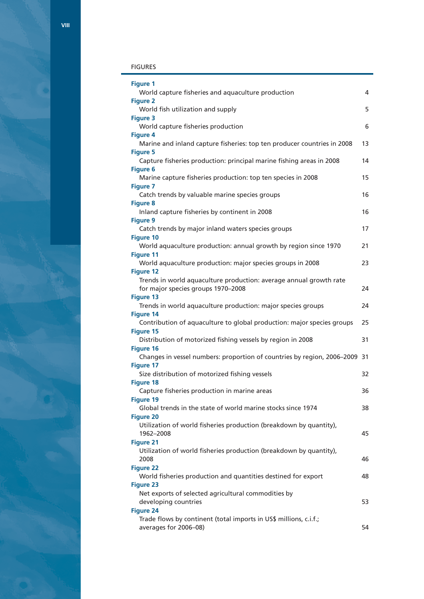### FIGURES

| <b>Figure 1</b><br>World capture fisheries and aquaculture production                      | 4  |
|--------------------------------------------------------------------------------------------|----|
| <b>Figure 2</b>                                                                            |    |
| World fish utilization and supply                                                          | 5  |
| <b>Figure 3</b>                                                                            |    |
| World capture fisheries production                                                         | 6  |
| <b>Figure 4</b>                                                                            |    |
| Marine and inland capture fisheries: top ten producer countries in 2008<br><b>Figure 5</b> | 13 |
| Capture fisheries production: principal marine fishing areas in 2008                       | 14 |
| <b>Figure 6</b>                                                                            |    |
| Marine capture fisheries production: top ten species in 2008<br><b>Figure 7</b>            | 15 |
| Catch trends by valuable marine species groups                                             | 16 |
| <b>Figure 8</b>                                                                            |    |
| Inland capture fisheries by continent in 2008                                              | 16 |
| <b>Figure 9</b>                                                                            |    |
| Catch trends by major inland waters species groups                                         | 17 |
| <b>Figure 10</b><br>World aquaculture production: annual growth by region since 1970       | 21 |
| <b>Figure 11</b>                                                                           |    |
| World aquaculture production: major species groups in 2008                                 | 23 |
| <b>Figure 12</b>                                                                           |    |
| Trends in world aquaculture production: average annual growth rate                         |    |
| for major species groups 1970-2008                                                         | 24 |
| <b>Figure 13</b>                                                                           |    |
| Trends in world aquaculture production: major species groups                               | 24 |
| <b>Figure 14</b>                                                                           |    |
| Contribution of aquaculture to global production: major species groups                     | 25 |
| <b>Figure 15</b>                                                                           |    |
| Distribution of motorized fishing vessels by region in 2008                                | 31 |
| <b>Figure 16</b>                                                                           |    |
| Changes in vessel numbers: proportion of countries by region, 2006-2009 31                 |    |
| <b>Figure 17</b>                                                                           |    |
| Size distribution of motorized fishing vessels                                             | 32 |
| <b>Figure 18</b><br>Capture fisheries production in marine areas                           | 36 |
| <b>Figure 19</b>                                                                           |    |
| Global trends in the state of world marine stocks since 1974                               | 38 |
| <b>Figure 20</b>                                                                           |    |
| Utilization of world fisheries production (breakdown by quantity),                         |    |
| 1962-2008                                                                                  | 45 |
| <b>Figure 21</b>                                                                           |    |
| Utilization of world fisheries production (breakdown by quantity),<br>2008                 | 46 |
| <b>Figure 22</b>                                                                           |    |
| World fisheries production and quantities destined for export                              | 48 |
| <b>Figure 23</b>                                                                           |    |
| Net exports of selected agricultural commodities by                                        |    |
| developing countries                                                                       | 53 |
| <b>Figure 24</b>                                                                           |    |
| Trade flows by continent (total imports in US\$ millions, c.i.f.;                          |    |
| averages for 2006-08)                                                                      | 54 |
|                                                                                            |    |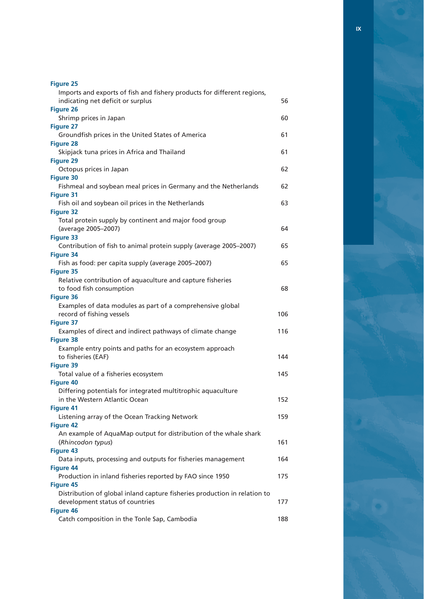| <b>Figure 25</b>                                                                                             |     |
|--------------------------------------------------------------------------------------------------------------|-----|
| Imports and exports of fish and fishery products for different regions,<br>indicating net deficit or surplus | 56  |
| <b>Figure 26</b><br>Shrimp prices in Japan                                                                   | 60  |
| <b>Figure 27</b>                                                                                             |     |
| Groundfish prices in the United States of America                                                            | 61  |
|                                                                                                              |     |
| <b>Figure 28</b>                                                                                             | 61  |
| Skipjack tuna prices in Africa and Thailand                                                                  |     |
| <b>Figure 29</b>                                                                                             | 62  |
| Octopus prices in Japan<br><b>Figure 30</b>                                                                  |     |
| Fishmeal and soybean meal prices in Germany and the Netherlands                                              | 62  |
| <b>Figure 31</b>                                                                                             |     |
| Fish oil and soybean oil prices in the Netherlands                                                           | 63  |
|                                                                                                              |     |
| <b>Figure 32</b>                                                                                             |     |
| Total protein supply by continent and major food group<br>(average 2005-2007)                                | 64  |
| <b>Figure 33</b>                                                                                             |     |
| Contribution of fish to animal protein supply (average 2005-2007)                                            | 65  |
| <b>Figure 34</b>                                                                                             |     |
| Fish as food: per capita supply (average 2005-2007)                                                          | 65  |
| <b>Figure 35</b>                                                                                             |     |
| Relative contribution of aquaculture and capture fisheries                                                   |     |
| to food fish consumption                                                                                     | 68  |
| <b>Figure 36</b>                                                                                             |     |
| Examples of data modules as part of a comprehensive global                                                   |     |
| record of fishing vessels                                                                                    | 106 |
| <b>Figure 37</b>                                                                                             |     |
| Examples of direct and indirect pathways of climate change                                                   | 116 |
| <b>Figure 38</b>                                                                                             |     |
| Example entry points and paths for an ecosystem approach                                                     |     |
| to fisheries (EAF)                                                                                           | 144 |
| <b>Figure 39</b>                                                                                             |     |
| Total value of a fisheries ecosystem                                                                         | 145 |
| <b>Figure 40</b>                                                                                             |     |
| Differing potentials for integrated multitrophic aquaculture                                                 |     |
| in the Western Atlantic Ocean                                                                                | 152 |
| <b>Figure 41</b>                                                                                             |     |
| Listening array of the Ocean Tracking Network                                                                | 159 |
| <b>Figure 42</b>                                                                                             |     |
| An example of AquaMap output for distribution of the whale shark                                             |     |
| (Rhincodon typus)                                                                                            | 161 |
| <b>Figure 43</b>                                                                                             |     |
| Data inputs, processing and outputs for fisheries management                                                 | 164 |
| <b>Figure 44</b>                                                                                             |     |
| Production in inland fisheries reported by FAO since 1950                                                    | 175 |
| <b>Figure 45</b>                                                                                             |     |
| Distribution of global inland capture fisheries production in relation to                                    |     |
| development status of countries                                                                              | 177 |
| <b>Figure 46</b>                                                                                             |     |
| Catch composition in the Tonle Sap, Cambodia                                                                 | 188 |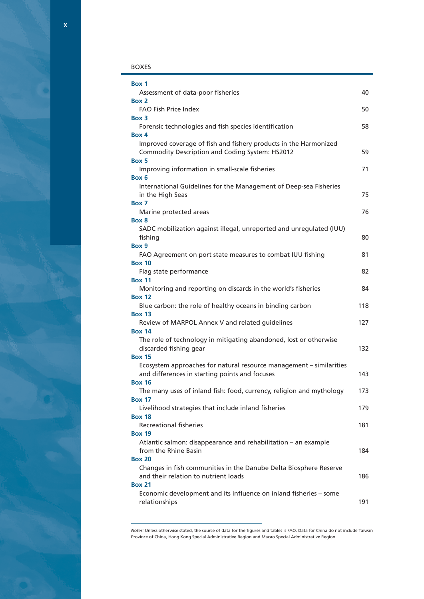#### BOXES

| Box 1                                                                                |     |
|--------------------------------------------------------------------------------------|-----|
| Assessment of data-poor fisheries                                                    | 40  |
| Box 2                                                                                |     |
| FAO Fish Price Index                                                                 | 50  |
| Box 3                                                                                |     |
| Forensic technologies and fish species identification                                | 58  |
| Box 4                                                                                |     |
| Improved coverage of fish and fishery products in the Harmonized                     |     |
| Commodity Description and Coding System: HS2012                                      | 59  |
| Box 5                                                                                |     |
| Improving information in small-scale fisheries                                       | 71  |
| Box 6                                                                                |     |
| International Guidelines for the Management of Deep-sea Fisheries                    |     |
| in the High Seas                                                                     | 75  |
| Box 7                                                                                | 76  |
| Marine protected areas<br>Box 8                                                      |     |
| SADC mobilization against illegal, unreported and unregulated (IUU)                  |     |
| fishing                                                                              | 80  |
| Box 9                                                                                |     |
| FAO Agreement on port state measures to combat IUU fishing                           | 81  |
| <b>Box 10</b>                                                                        |     |
| Flag state performance                                                               | 82  |
| <b>Box 11</b>                                                                        |     |
| Monitoring and reporting on discards in the world's fisheries                        | 84  |
| <b>Box 12</b>                                                                        |     |
| Blue carbon: the role of healthy oceans in binding carbon                            | 118 |
| <b>Box 13</b>                                                                        |     |
| Review of MARPOL Annex V and related guidelines                                      | 127 |
| <b>Box 14</b>                                                                        |     |
| The role of technology in mitigating abandoned, lost or otherwise                    |     |
| discarded fishing gear                                                               | 132 |
| <b>Box 15</b><br>Ecosystem approaches for natural resource management - similarities |     |
| and differences in starting points and focuses                                       | 143 |
| <b>Box 16</b>                                                                        |     |
| The many uses of inland fish: food, currency, religion and mythology                 | 173 |
| <b>Box 17</b>                                                                        |     |
| Livelihood strategies that include inland fisheries                                  | 179 |
| <b>Box 18</b>                                                                        |     |
| Recreational fisheries                                                               | 181 |
| <b>Box 19</b>                                                                        |     |
| Atlantic salmon: disappearance and rehabilitation - an example                       |     |
| from the Rhine Basin                                                                 | 184 |
| <b>Box 20</b>                                                                        |     |
| Changes in fish communities in the Danube Delta Biosphere Reserve                    |     |
| and their relation to nutrient loads                                                 | 186 |
| <b>Box 21</b>                                                                        |     |
| Economic development and its influence on inland fisheries - some                    |     |
| relationships                                                                        | 191 |
|                                                                                      |     |

*Notes:* Unless otherwise stated, the source of data for the figures and tables is FAO. Data for China do not include Taiwan Province of China, Hong Kong Special Administrative Region and Macao Special Administrative Region.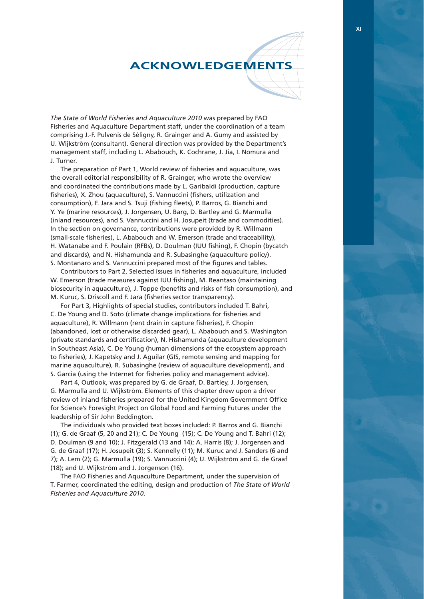# **ACKNOWLEDGEMENTS**

*The State of World Fisheries and Aquaculture 2010* was prepared by FAO Fisheries and Aquaculture Department staff, under the coordination of a team comprising J.-F. Pulvenis de Séligny, R. Grainger and A. Gumy and assisted by U. Wijkström (consultant). General direction was provided by the Department's management staff, including L. Ababouch, K. Cochrane, J. Jia, I. Nomura and J. Turner.

The preparation of Part 1, World review of fisheries and aquaculture, was the overall editorial responsibility of R. Grainger, who wrote the overview and coordinated the contributions made by L. Garibaldi (production, capture fisheries), X. Zhou (aquaculture), S. Vannuccini (fishers, utilization and consumption), F. Jara and S. Tsuji (fishing fleets), P. Barros, G. Bianchi and Y. Ye (marine resources), J. Jorgensen, U. Barg, D. Bartley and G. Marmulla (inland resources), and S. Vannuccini and H. Josupeit (trade and commodities). In the section on governance, contributions were provided by R. Willmann (small-scale fisheries), L. Ababouch and W. Emerson (trade and traceability), H. Watanabe and F. Poulain (RFBs), D. Doulman (IUU fishing), F. Chopin (bycatch and discards), and N. Hishamunda and R. Subasinghe (aquaculture policy). S. Montanaro and S. Vannuccini prepared most of the figures and tables.

Contributors to Part 2, Selected issues in fisheries and aquaculture, included W. Emerson (trade measures against IUU fishing), M. Reantaso (maintaining biosecurity in aquaculture), J. Toppe (benefits and risks of fish consumption), and M. Kuruc, S. Driscoll and F. Jara (fisheries sector transparency).

For Part 3, Highlights of special studies, contributors included T. Bahri, C. De Young and D. Soto (climate change implications for fisheries and aquaculture), R. Willmann (rent drain in capture fisheries), F. Chopin (abandoned, lost or otherwise discarded gear), L. Ababouch and S. Washington (private standards and certification), N. Hishamunda (aquaculture development in Southeast Asia), C. De Young (human dimensions of the ecosystem approach to fisheries), J. Kapetsky and J. Aguilar (GIS, remote sensing and mapping for marine aquaculture), R. Subasinghe (review of aquaculture development), and S. Garcia (using the Internet for fisheries policy and management advice).

Part 4, Outlook, was prepared by G. de Graaf, D. Bartley, J. Jorgensen, G. Marmulla and U. Wijkström. Elements of this chapter drew upon a driver review of inland fisheries prepared for the United Kingdom Government Office for Science's Foresight Project on Global Food and Farming Futures under the leadership of Sir John Beddington.

The individuals who provided text boxes included: P. Barros and G. Bianchi (1); G. de Graaf (5, 20 and 21); C. De Young (15); C. De Young and T. Bahri (12); D. Doulman (9 and 10); J. Fitzgerald (13 and 14); A. Harris (8); J. Jorgensen and G. de Graaf (17); H. Josupeit (3); S. Kennelly (11); M. Kuruc and J. Sanders (6 and 7); A. Lem (2); G. Marmulla (19); S. Vannuccini (4); U. Wijkström and G. de Graaf (18); and U. Wijkström and J. Jorgenson (16).

The FAO Fisheries and Aquaculture Department, under the supervision of T. Farmer, coordinated the editing, design and production of *The State of World Fisheries and Aquaculture 2010*.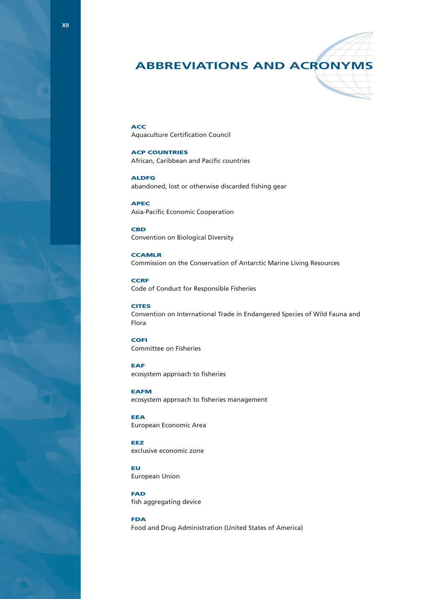# **ABBREVIATIONS AND ACRONYMS**

**ACC**  Aquaculture Certification Council

**ACP COUNTRIES**  African, Caribbean and Pacific countries

**ALDFG**  abandoned, lost or otherwise discarded fishing gear

**APEC**  Asia-Pacific Economic Cooperation

**CBD**  Convention on Biological Diversity

**CCAMLR**  Commission on the Conservation of Antarctic Marine Living Resources

**CCRF**  Code of Conduct for Responsible Fisheries

**CITES**  Convention on International Trade in Endangered Species of Wild Fauna and Flora

**COFI**  Committee on Fisheries

**EAF**  ecosystem approach to fisheries

**EAFM**  ecosystem approach to fisheries management

**EEA**  European Economic Area

**EEZ**  exclusive economic zone

**EU**  European Union

**FAD**  fish aggregating device

**FDA**  Food and Drug Administration (United States of America)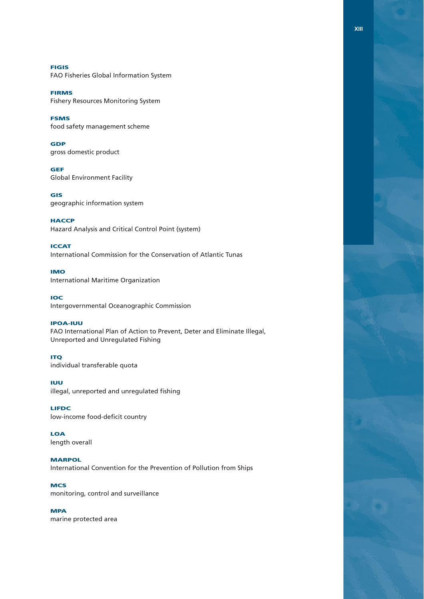**FIGIS**  FAO Fisheries Global Information System

**FIRMS**  Fishery Resources Monitoring System

**FSMS**  food safety management scheme

**GDP**  gross domestic product

**GEF**  Global Environment Facility

**GIS**  geographic information system

**HACCP**  Hazard Analysis and Critical Control Point (system)

**ICCAT**  International Commission for the Conservation of Atlantic Tunas

**IMO**  International Maritime Organization

**IOC**  Intergovernmental Oceanographic Commission

**IPOA-IUU**  FAO International Plan of Action to Prevent, Deter and Eliminate Illegal, Unreported and Unregulated Fishing

**ITQ**  individual transferable quota

**IUU**  illegal, unreported and unregulated fishing

**LIFDC**  low-income food-deficit country

**LOA**  length overall

**MARPOL**  International Convention for the Prevention of Pollution from Ships

**MCS**  monitoring, control and surveillance

**MPA**  marine protected area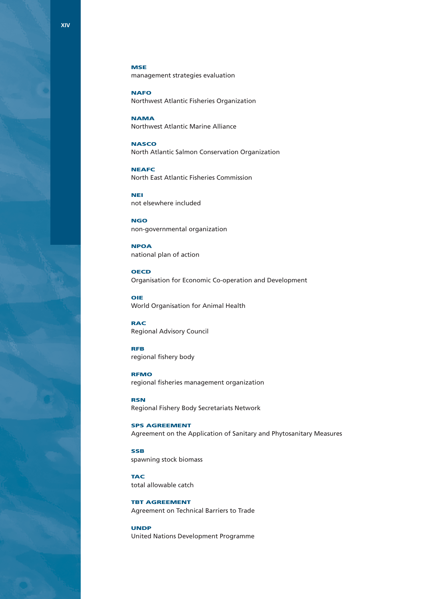**MSE**  management strategies evaluation

**NAFO**  Northwest Atlantic Fisheries Organization

**NAMA**  Northwest Atlantic Marine Alliance

**NASCO**  North Atlantic Salmon Conservation Organization

**NEAFC**  North East Atlantic Fisheries Commission

**NEI**  not elsewhere included

**NGO**  non-governmental organization

**NPOA**  national plan of action

**OECD**  Organisation for Economic Co-operation and Development

**OIE**  World Organisation for Animal Health

**RAC**  Regional Advisory Council

**RFB**  regional fishery body

**RFMO**  regional fisheries management organization

**RSN**  Regional Fishery Body Secretariats Network

**SPS AGREEMENT**  Agreement on the Application of Sanitary and Phytosanitary Measures

**SSB**  spawning stock biomass

**TAC**  total allowable catch

**TBT AGREEMENT**  Agreement on Technical Barriers to Trade

**UNDP**  United Nations Development Programme